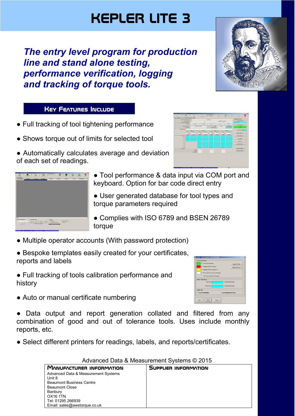# KEPLER LITE 3

*The entry level program for production line and stand alone testing, performance verification, logging and tracking of torque tools.* 

## **KEY FEATURES INCLUDE**

- Full tracking of tool tightening performance
- Shows torque out of limits for selected tool
- Automatically calculates average and deviation of each set of readings.





**Maria** 

- Tool performance & data input via COM port and keyboard. Option for bar code direct entry
- User generated database for tool types and torque parameters required
- Complies with ISO 6789 and BSEN 26789 torque
- Multiple operator accounts (With password protection)
- Bespoke templates easily created for your certificates, reports and labels
- Full tracking of tools calibration performance and history



• Auto or manual certificate numbering

● Data output and report generation collated and filtered from any combination of good and out of tolerance tools. Uses include monthly reports, etc.

• Select different printers for readings, labels, and reports/certificates.

| Advanced Data $\alpha$ Measurement Systems $\otimes$ Z013 |                      |  |
|-----------------------------------------------------------|----------------------|--|
| <b>MANUFACTURER INFORMATION</b>                           | SUPPLIER INFORMATION |  |
| Advanced Data & Measurement Systems                       |                      |  |
| Unit 8                                                    |                      |  |
| <b>Beaumont Business Centre</b>                           |                      |  |
| <b>Beaumont Close</b>                                     |                      |  |
| Banbury                                                   |                      |  |
| OX16 1TN                                                  |                      |  |
| Tel: 01295 266939                                         |                      |  |
| Email: sales@awstorque.co.uk                              |                      |  |

#### Advanced Data & Measurement Systems © 2015